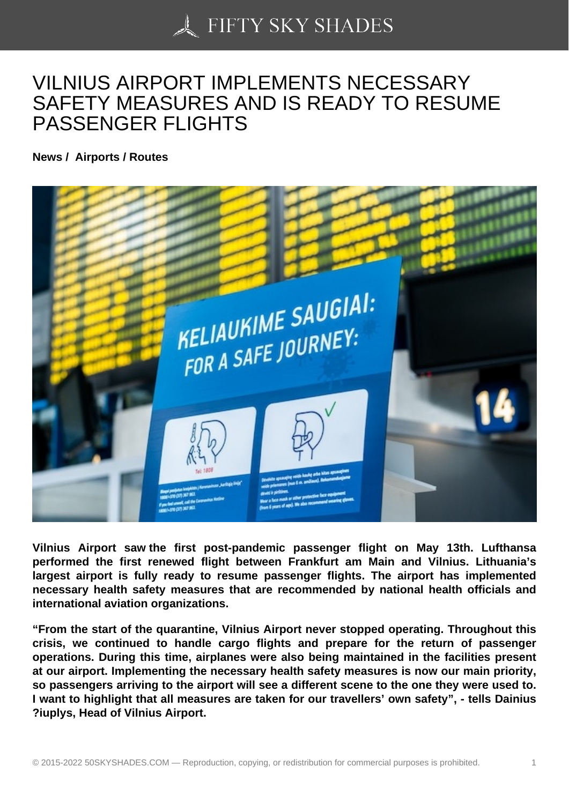## [VILNIUS AIRPORT IM](https://50skyshades.com)PLEMENTS NECESSARY SAFETY MEASURES AND IS READY TO RESUME PASSENGER FLIGHTS

News / Airports / Routes

Vilnius Airport saw the first post-pandemic passenger flight on May 13th. Lufthansa performed the first renewed flight between Frankfurt am Main and Vilnius. Lithuania's largest airport is fully ready to resume passenger flights. The airport has implemented necessary health safety measures that are recommended by national health officials and international aviation organizations.

"From the start of the quarantine, Vilnius Airport never stopped operating. Throughout this crisis, we continued to handle cargo flights and prepare for the return of passenger operations. During this time, airplanes were also being maintained in the facilities present at our airport. Implementing the necessary health safety measures is now our main priority, so passengers arriving to the airport will see a different scene to the one they were used to. I want to highlight that all measures are taken for our travellers' own safety", - tells Dainius ?iuplys, Head of Vilnius Airport.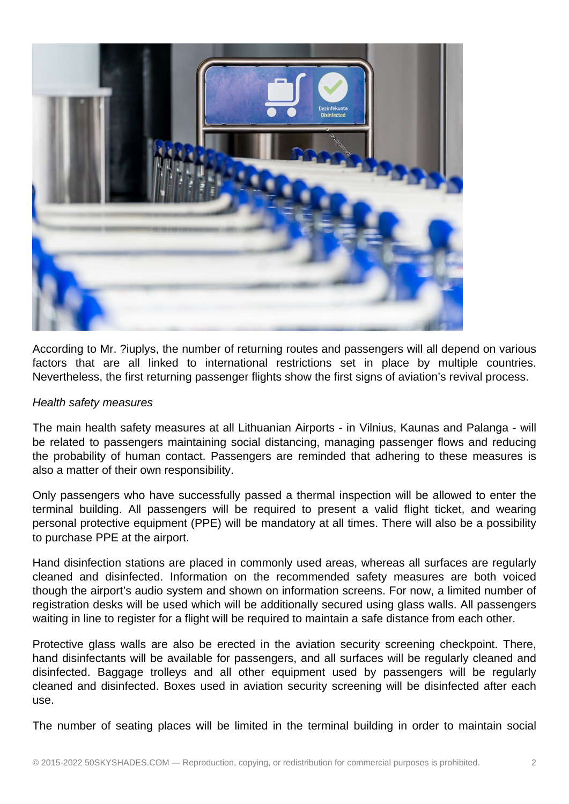

According to Mr. ?iuplys, the number of returning routes and passengers will all depend on various factors that are all linked to international restrictions set in place by multiple countries. Nevertheless, the first returning passenger flights show the first signs of aviation's revival process.

## Health safety measures

The main health safety measures at all Lithuanian Airports - in Vilnius, Kaunas and Palanga - will be related to passengers maintaining social distancing, managing passenger flows and reducing the probability of human contact. Passengers are reminded that adhering to these measures is also a matter of their own responsibility.

Only passengers who have successfully passed a thermal inspection will be allowed to enter the terminal building. All passengers will be required to present a valid flight ticket, and wearing personal protective equipment (PPE) will be mandatory at all times. There will also be a possibility to purchase PPE at the airport.

Hand disinfection stations are placed in commonly used areas, whereas all surfaces are regularly cleaned and disinfected. Information on the recommended safety measures are both voiced though the airport's audio system and shown on information screens. For now, a limited number of registration desks will be used which will be additionally secured using glass walls. All passengers waiting in line to register for a flight will be required to maintain a safe distance from each other.

Protective glass walls are also be erected in the aviation security screening checkpoint. There, hand disinfectants will be available for passengers, and all surfaces will be regularly cleaned and disinfected. Baggage trolleys and all other equipment used by passengers will be regularly cleaned and disinfected. Boxes used in aviation security screening will be disinfected after each use.

The number of seating places will be limited in the terminal building in order to maintain social